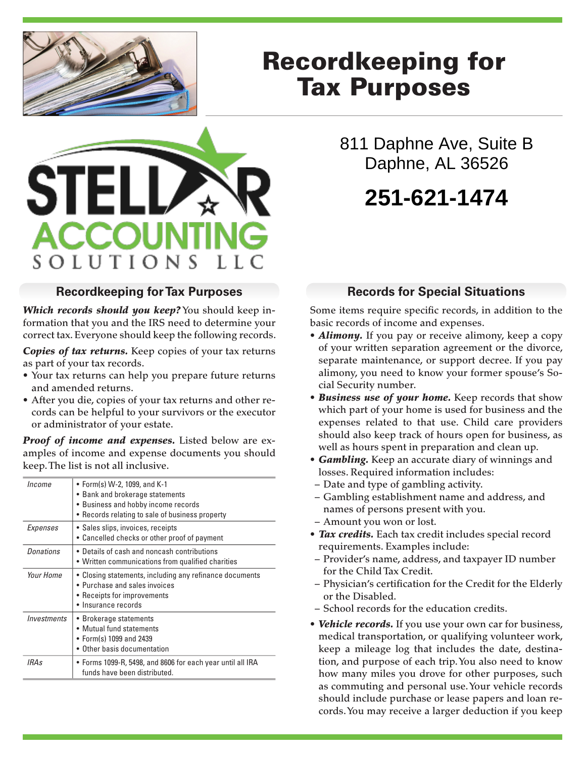

**ACCOUN** 

SOLUTIONS

**STE** 

# Recordkeeping for Tax Purposes

811 Daphne Ave, Suite B Daphne, AL 36526

# **251-621-1474**

#### **Recordkeeping for Tax Purposes**

*Which records should you keep?* You should keep information that you and the IRS need to determine your correct tax. Everyone should keep the following records.

*Copies of tax returns.* Keep copies of your tax returns as part of your tax records.

- Your tax returns can help you prepare future returns and amended returns.
- After you die, copies of your tax returns and other records can be helpful to your survivors or the executor or administrator of your estate.

*Proof of income and expenses.* Listed below are examples of income and expense documents you should keep. The list is not all inclusive.

| Income           | • Form(s) W-2, 1099, and K-1<br>• Bank and brokerage statements<br>• Business and hobby income records<br>• Records relating to sale of business property |
|------------------|-----------------------------------------------------------------------------------------------------------------------------------------------------------|
| Expenses         | • Sales slips, invoices, receipts<br>• Cancelled checks or other proof of payment                                                                         |
| <b>Donations</b> | • Details of cash and noncash contributions<br>• Written communications from qualified charities                                                          |
| Your Home        | • Closing statements, including any refinance documents<br>• Purchase and sales invoices<br>• Receipts for improvements<br>• Insurance records            |
| Investments      | • Brokerage statements<br>• Mutual fund statements<br>• Form(s) 1099 and 2439<br>• Other basis documentation                                              |
| <i>IRAs</i>      | • Forms 1099-R, 5498, and 8606 for each year until all IRA<br>funds have been distributed.                                                                |

## **Records for Special Situations**

Some items require specific records, in addition to the basic records of income and expenses.

- **Alimony.** If you pay or receive alimony, keep a copy of your written separation agreement or the divorce, separate maintenance, or support decree. If you pay alimony, you need to know your former spouse's Social Security number.
- *Business use of your home.* Keep records that show which part of your home is used for business and the expenses related to that use. Child care providers should also keep track of hours open for business, as well as hours spent in preparation and clean up.
- *Gambling.* Keep an accurate diary of winnings and losses. Required information includes:
- Date and type of gambling activity.
- Gambling establishment name and address, and names of persons present with you.
- Amount you won or lost.
- *Tax credits.* Each tax credit includes special record requirements. Examples include:
- Provider's name, address, and taxpayer ID number for the Child Tax Credit.
- Physician's certification for the Credit for the Elderly or the Disabled.
- School records for the education credits.
- *Vehicle records.* If you use your own car for business, medical transportation, or qualifying volunteer work, keep a mileage log that includes the date, destination, and purpose of each trip. You also need to know how many miles you drove for other purposes, such as commuting and personal use. Your vehicle records should include purchase or lease papers and loan records. You may receive a larger deduction if you keep